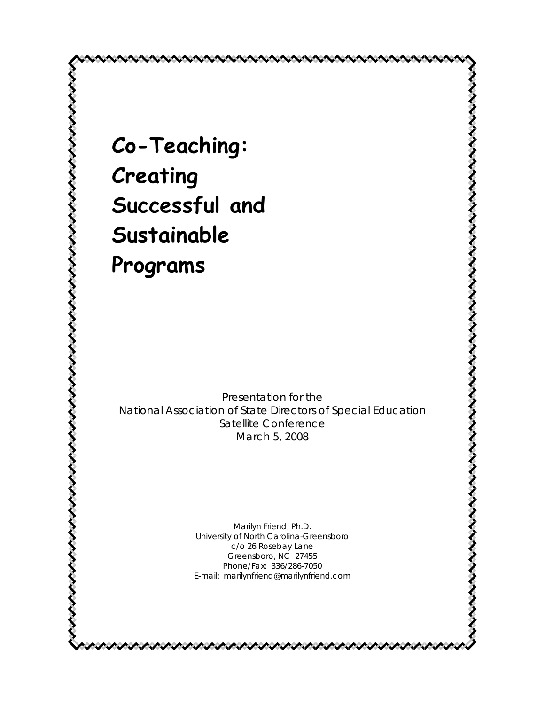**Co-Teaching: Creating Successful and Sustainable Programs** 

*Presentation for the National Association of State Directors of Special Education Satellite Conference March 5, 2008* 

くそさささささささきさささささささささささささささささささささささささ

Marilyn Friend, Ph.D. University of North Carolina-Greensboro c/o 26 Rosebay Lane Greensboro, NC 27455 Phone/Fax: 336/286-7050 E-mail: marilynfriend@marilynfriend.com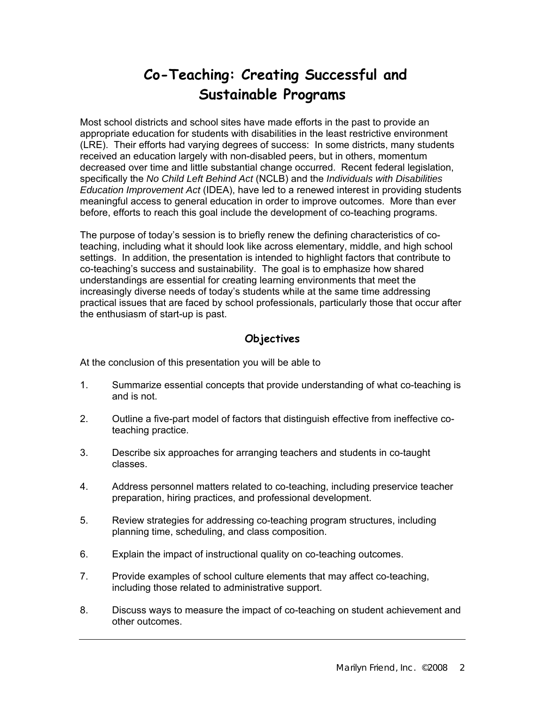# **Co-Teaching: Creating Successful and Sustainable Programs**

Most school districts and school sites have made efforts in the past to provide an appropriate education for students with disabilities in the least restrictive environment (LRE). Their efforts had varying degrees of success: In some districts, many students received an education largely with non-disabled peers, but in others, momentum decreased over time and little substantial change occurred. Recent federal legislation, specifically the *No Child Left Behind Act* (NCLB) and the *Individuals with Disabilities Education Improvement Act* (IDEA), have led to a renewed interest in providing students meaningful access to general education in order to improve outcomes. More than ever before, efforts to reach this goal include the development of co-teaching programs.

The purpose of today's session is to briefly renew the defining characteristics of coteaching, including what it should look like across elementary, middle, and high school settings. In addition, the presentation is intended to highlight factors that contribute to co-teaching's success and sustainability. The goal is to emphasize how shared understandings are essential for creating learning environments that meet the increasingly diverse needs of today's students while at the same time addressing practical issues that are faced by school professionals, particularly those that occur after the enthusiasm of start-up is past.

#### **Objectives**

At the conclusion of this presentation you will be able to

- 1. Summarize essential concepts that provide understanding of what co-teaching is and is not.
- 2. Outline a five-part model of factors that distinguish effective from ineffective coteaching practice.
- 3. Describe six approaches for arranging teachers and students in co-taught classes.
- 4. Address personnel matters related to co-teaching, including preservice teacher preparation, hiring practices, and professional development.
- 5. Review strategies for addressing co-teaching program structures, including planning time, scheduling, and class composition.
- 6. Explain the impact of instructional quality on co-teaching outcomes.
- 7. Provide examples of school culture elements that may affect co-teaching, including those related to administrative support.
- 8. Discuss ways to measure the impact of co-teaching on student achievement and other outcomes.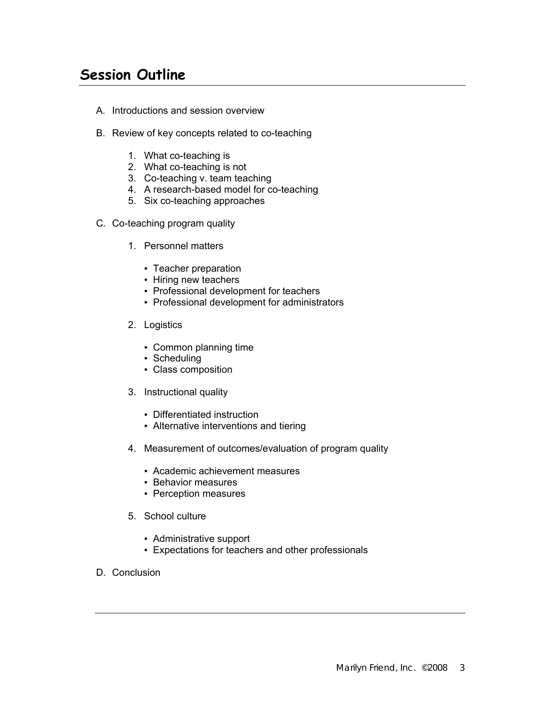### **Session Outline**

- A. Introductions and session overview
- B. Review of key concepts related to co-teaching
	- 1. What co-teaching is
	- 2. What co-teaching is not
	- 3. Co-teaching v. team teaching
	- 4. A research-based model for co-teaching
	- 5. Six co-teaching approaches
- C. Co-teaching program quality
	- 1. Personnel matters
		- Teacher preparation
		- Hiring new teachers
		- Professional development for teachers
		- Professional development for administrators
	- 2. Logistics
		- Common planning time
		- Scheduling
		- Class composition
	- 3. Instructional quality
		- Differentiated instruction
		- Alternative interventions and tiering
	- 4. Measurement of outcomes/evaluation of program quality
		- Academic achievement measures
		- Behavior measures
		- Perception measures
	- 5. School culture
		- Administrative support
		- Expectations for teachers and other professionals
- D. Conclusion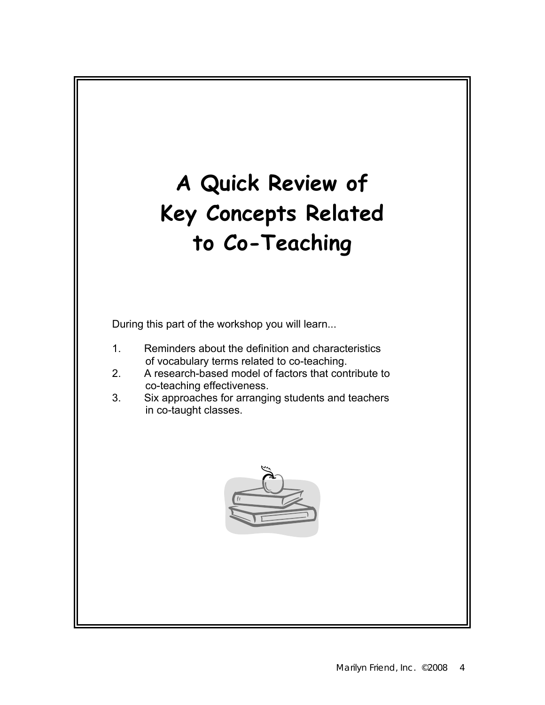# **A Quick Review of Key Concepts Related to Co-Teaching**

During this part of the workshop you will learn...

- 1. Reminders about the definition and characteristics of vocabulary terms related to co-teaching.
- 2. A research-based model of factors that contribute to co-teaching effectiveness.
- 3. Six approaches for arranging students and teachers in co-taught classes.

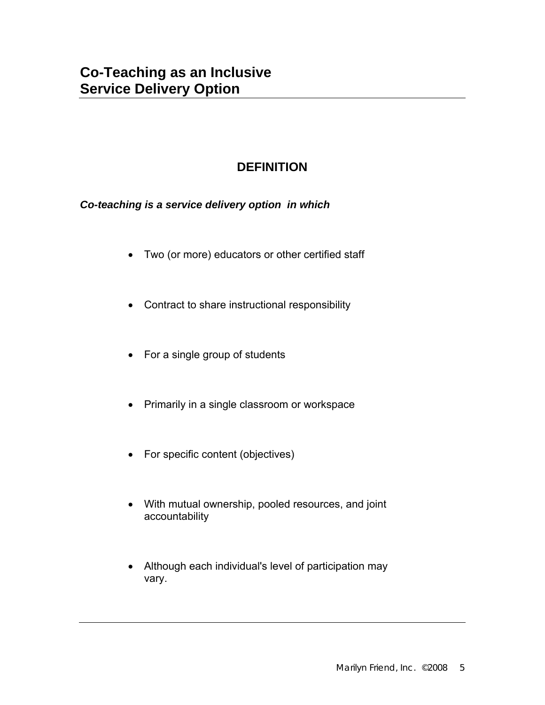#### **DEFINITION**

*Co-teaching is a service delivery option in which* 

- Two (or more) educators or other certified staff
- Contract to share instructional responsibility
- For a single group of students
- Primarily in a single classroom or workspace
- For specific content (objectives)
- With mutual ownership, pooled resources, and joint accountability
- Although each individual's level of participation may vary.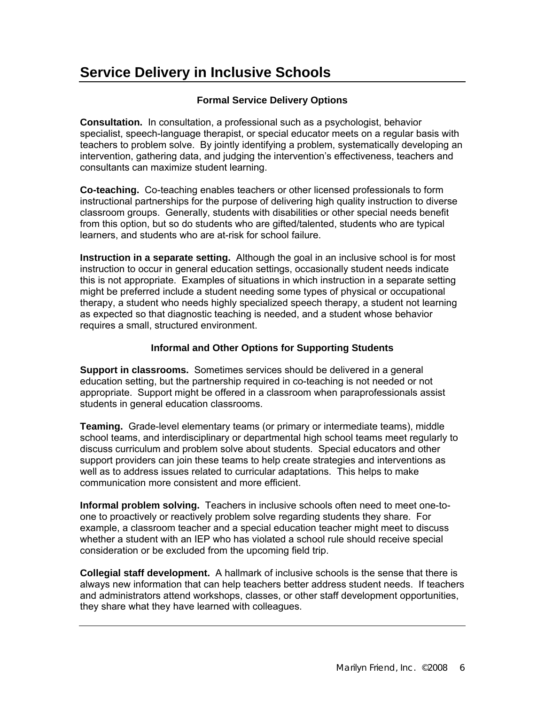# **Service Delivery in Inclusive Schools**

#### **Formal Service Delivery Options**

**Consultation.** In consultation, a professional such as a psychologist, behavior specialist, speech-language therapist, or special educator meets on a regular basis with teachers to problem solve. By jointly identifying a problem, systematically developing an intervention, gathering data, and judging the intervention's effectiveness, teachers and consultants can maximize student learning.

**Co-teaching.** Co-teaching enables teachers or other licensed professionals to form instructional partnerships for the purpose of delivering high quality instruction to diverse classroom groups. Generally, students with disabilities or other special needs benefit from this option, but so do students who are gifted/talented, students who are typical learners, and students who are at-risk for school failure.

**Instruction in a separate setting.** Although the goal in an inclusive school is for most instruction to occur in general education settings, occasionally student needs indicate this is not appropriate. Examples of situations in which instruction in a separate setting might be preferred include a student needing some types of physical or occupational therapy, a student who needs highly specialized speech therapy, a student not learning as expected so that diagnostic teaching is needed, and a student whose behavior requires a small, structured environment.

#### **Informal and Other Options for Supporting Students**

**Support in classrooms.** Sometimes services should be delivered in a general education setting, but the partnership required in co-teaching is not needed or not appropriate. Support might be offered in a classroom when paraprofessionals assist students in general education classrooms.

**Teaming.** Grade-level elementary teams (or primary or intermediate teams), middle school teams, and interdisciplinary or departmental high school teams meet regularly to discuss curriculum and problem solve about students. Special educators and other support providers can join these teams to help create strategies and interventions as well as to address issues related to curricular adaptations. This helps to make communication more consistent and more efficient.

**Informal problem solving.** Teachers in inclusive schools often need to meet one-toone to proactively or reactively problem solve regarding students they share. For example, a classroom teacher and a special education teacher might meet to discuss whether a student with an IEP who has violated a school rule should receive special consideration or be excluded from the upcoming field trip.

**Collegial staff development.** A hallmark of inclusive schools is the sense that there is always new information that can help teachers better address student needs. If teachers and administrators attend workshops, classes, or other staff development opportunities, they share what they have learned with colleagues.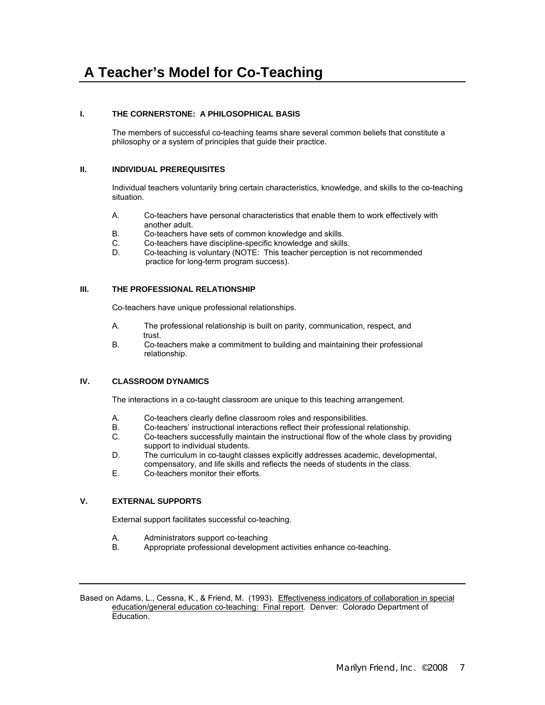# **A Teacher's Model for Co-Teaching**

#### **I. THE CORNERSTONE: A PHILOSOPHICAL BASIS**

The members of successful co-teaching teams share several common beliefs that constitute a philosophy or a system of principles that guide their practice.

#### **II. INDIVIDUAL PREREQUISITES**

Individual teachers voluntarily bring certain characteristics, knowledge, and skills to the co-teaching situation.

- A. Co-teachers have personal characteristics that enable them to work effectively with another adult.
- B. Co-teachers have sets of common knowledge and skills.
- C. Co-teachers have discipline-specific knowledge and skills.
- D. Co-teaching is voluntary (NOTE: This teacher perception is not recommended practice for long-term program success).

#### **III. THE PROFESSIONAL RELATIONSHIP**

Co-teachers have unique professional relationships.

- A. The professional relationship is built on parity, communication, respect, and .trust<br>R Co-te
- Co-teachers make a commitment to building and maintaining their professional relationship.

#### **IV. CLASSROOM DYNAMICS**

The interactions in a co-taught classroom are unique to this teaching arrangement.

- A. Co-teachers clearly define classroom roles and responsibilities.
- B. Co-teachers' instructional interactions reflect their professional relationship.
- C. Co-teachers successfully maintain the instructional flow of the whole class by providing support to individual students.
- D. The curriculum in co-taught classes explicitly addresses academic, developmental, compensatory, and life skills and reflects the needs of students in the class.
- E. Co-teachers monitor their efforts.

#### **V. EXTERNAL SUPPORTS**

External support facilitates successful co-teaching.

- A. Administrators support co-teaching
- B. Appropriate professional development activities enhance co-teaching.

Based on Adams, L., Cessna, K., & Friend, M. (1993). Effectiveness indicators of collaboration in special education/general education co-teaching: Final report. Denver: Colorado Department of Education.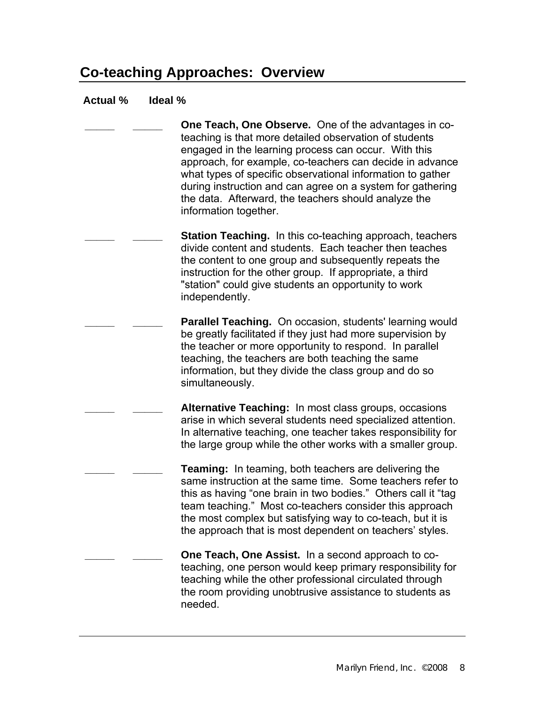### **Co-teaching Approaches: Overview**

#### **Actual % Ideal %**

**One Teach, One Observe.** One of the advantages in coteaching is that more detailed observation of students engaged in the learning process can occur. With this approach, for example, co-teachers can decide in advance what types of specific observational information to gather during instruction and can agree on a system for gathering the data. Afterward, the teachers should analyze the information together.

**Station Teaching.** In this co-teaching approach, teachers divide content and students. Each teacher then teaches the content to one group and subsequently repeats the instruction for the other group. If appropriate, a third "station" could give students an opportunity to work independently.

> **Parallel Teaching.** On occasion, students' learning would be greatly facilitated if they just had more supervision by the teacher or more opportunity to respond. In parallel teaching, the teachers are both teaching the same information, but they divide the class group and do so simultaneously.

Alternative Teaching: In most class groups, occasions arise in which several students need specialized attention. In alternative teaching, one teacher takes responsibility for the large group while the other works with a smaller group.

**Teaming:** In teaming, both teachers are delivering the same instruction at the same time. Some teachers refer to this as having "one brain in two bodies." Others call it "tag team teaching." Most co-teachers consider this approach the most complex but satisfying way to co-teach, but it is the approach that is most dependent on teachers' styles.

**One Teach, One Assist.** In a second approach to coteaching, one person would keep primary responsibility for teaching while the other professional circulated through the room providing unobtrusive assistance to students as needed.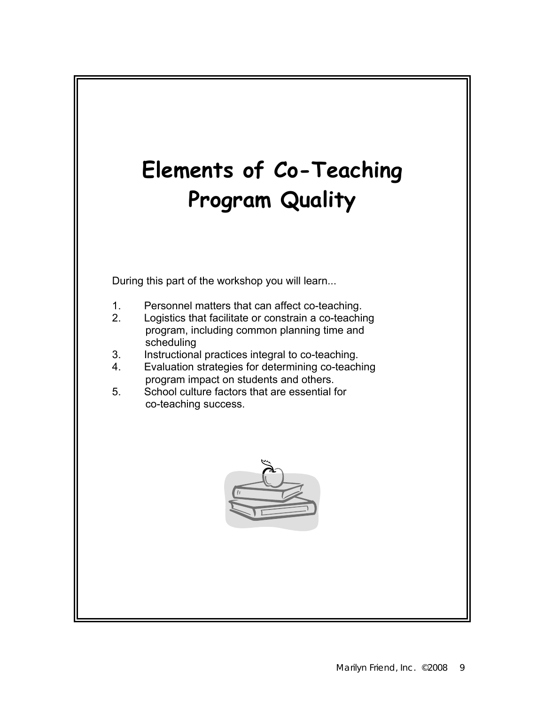

During this part of the workshop you will learn...

- 1. Personnel matters that can affect co-teaching.
- 2. Logistics that facilitate or constrain a co-teaching program, including common planning time and scheduling
- 3. Instructional practices integral to co-teaching.
- 4. Evaluation strategies for determining co-teaching program impact on students and others.
- 5. School culture factors that are essential for co-teaching success.

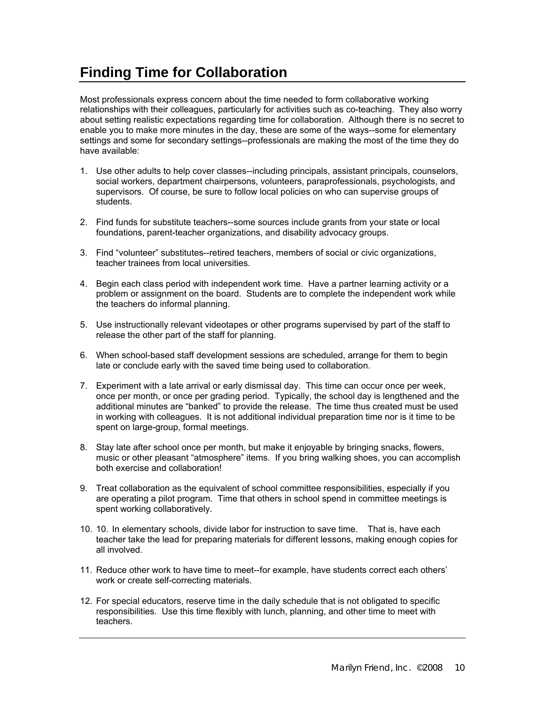# **Finding Time for Collaboration**

Most professionals express concern about the time needed to form collaborative working relationships with their colleagues, particularly for activities such as co-teaching. They also worry about setting realistic expectations regarding time for collaboration. Although there is no secret to enable you to make more minutes in the day, these are some of the ways--some for elementary settings and some for secondary settings--professionals are making the most of the time they do have available:

- 1. Use other adults to help cover classes--including principals, assistant principals, counselors, social workers, department chairpersons, volunteers, paraprofessionals, psychologists, and supervisors. Of course, be sure to follow local policies on who can supervise groups of students.
- 2. Find funds for substitute teachers--some sources include grants from your state or local foundations, parent-teacher organizations, and disability advocacy groups.
- 3. Find "volunteer" substitutes--retired teachers, members of social or civic organizations, teacher trainees from local universities.
- 4. Begin each class period with independent work time. Have a partner learning activity or a problem or assignment on the board. Students are to complete the independent work while the teachers do informal planning.
- 5. Use instructionally relevant videotapes or other programs supervised by part of the staff to release the other part of the staff for planning.
- 6. When school-based staff development sessions are scheduled, arrange for them to begin late or conclude early with the saved time being used to collaboration.
- 7. Experiment with a late arrival or early dismissal day. This time can occur once per week, once per month, or once per grading period. Typically, the school day is lengthened and the additional minutes are "banked" to provide the release. The time thus created must be used in working with colleagues. It is not additional individual preparation time nor is it time to be spent on large-group, formal meetings.
- 8. Stay late after school once per month, but make it enjoyable by bringing snacks, flowers, music or other pleasant "atmosphere" items. If you bring walking shoes, you can accomplish both exercise and collaboration!
- 9. Treat collaboration as the equivalent of school committee responsibilities, especially if you are operating a pilot program. Time that others in school spend in committee meetings is spent working collaboratively.
- 10. 10. In elementary schools, divide labor for instruction to save time. That is, have each teacher take the lead for preparing materials for different lessons, making enough copies for all involved.
- 11. Reduce other work to have time to meet--for example, have students correct each others' work or create self-correcting materials.
- 12. For special educators, reserve time in the daily schedule that is not obligated to specific responsibilities. Use this time flexibly with lunch, planning, and other time to meet with teachers.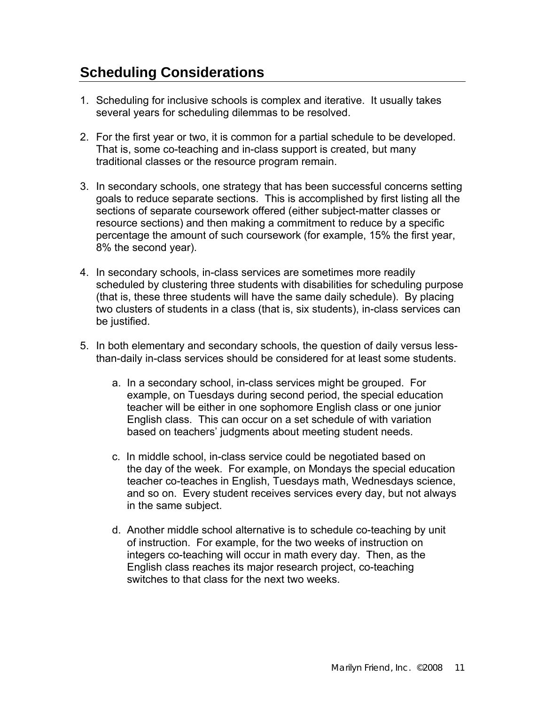# **Scheduling Considerations**

- 1. Scheduling for inclusive schools is complex and iterative. It usually takes several years for scheduling dilemmas to be resolved.
- 2. For the first year or two, it is common for a partial schedule to be developed. That is, some co-teaching and in-class support is created, but many traditional classes or the resource program remain.
- 3. In secondary schools, one strategy that has been successful concerns setting goals to reduce separate sections. This is accomplished by first listing all the sections of separate coursework offered (either subject-matter classes or resource sections) and then making a commitment to reduce by a specific percentage the amount of such coursework (for example, 15% the first year, 8% the second year).
- 4. In secondary schools, in-class services are sometimes more readily scheduled by clustering three students with disabilities for scheduling purpose (that is, these three students will have the same daily schedule). By placing two clusters of students in a class (that is, six students), in-class services can be justified.
- 5. In both elementary and secondary schools, the question of daily versus lessthan-daily in-class services should be considered for at least some students.
	- a. In a secondary school, in-class services might be grouped. For example, on Tuesdays during second period, the special education teacher will be either in one sophomore English class or one junior English class. This can occur on a set schedule of with variation based on teachers' judgments about meeting student needs.
	- c. In middle school, in-class service could be negotiated based on the day of the week. For example, on Mondays the special education teacher co-teaches in English, Tuesdays math, Wednesdays science, and so on. Every student receives services every day, but not always in the same subject.
	- d. Another middle school alternative is to schedule co-teaching by unit of instruction. For example, for the two weeks of instruction on integers co-teaching will occur in math every day. Then, as the English class reaches its major research project, co-teaching switches to that class for the next two weeks.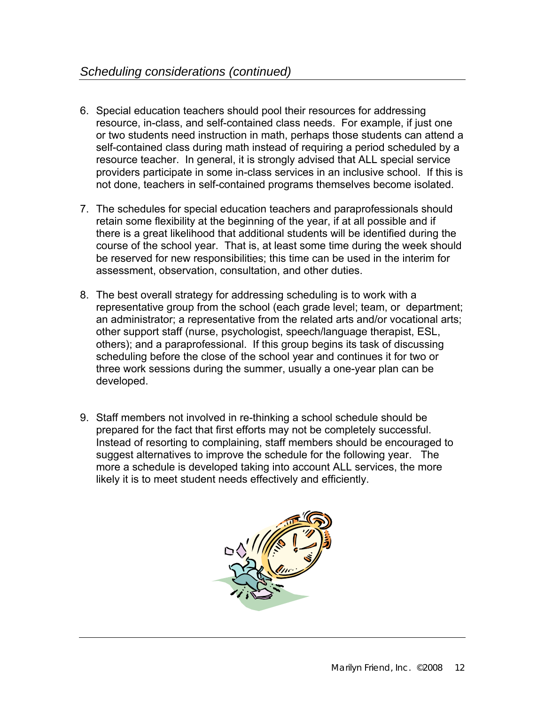- 6. Special education teachers should pool their resources for addressing resource, in-class, and self-contained class needs. For example, if just one or two students need instruction in math, perhaps those students can attend a self-contained class during math instead of requiring a period scheduled by a resource teacher. In general, it is strongly advised that ALL special service providers participate in some in-class services in an inclusive school. If this is not done, teachers in self-contained programs themselves become isolated.
- 7. The schedules for special education teachers and paraprofessionals should retain some flexibility at the beginning of the year, if at all possible and if there is a great likelihood that additional students will be identified during the course of the school year. That is, at least some time during the week should be reserved for new responsibilities; this time can be used in the interim for assessment, observation, consultation, and other duties.
- 8. The best overall strategy for addressing scheduling is to work with a representative group from the school (each grade level; team, or department; an administrator; a representative from the related arts and/or vocational arts; other support staff (nurse, psychologist, speech/language therapist, ESL, others); and a paraprofessional. If this group begins its task of discussing scheduling before the close of the school year and continues it for two or three work sessions during the summer, usually a one-year plan can be developed.
- 9. Staff members not involved in re-thinking a school schedule should be prepared for the fact that first efforts may not be completely successful. Instead of resorting to complaining, staff members should be encouraged to suggest alternatives to improve the schedule for the following year. The more a schedule is developed taking into account ALL services, the more likely it is to meet student needs effectively and efficiently.

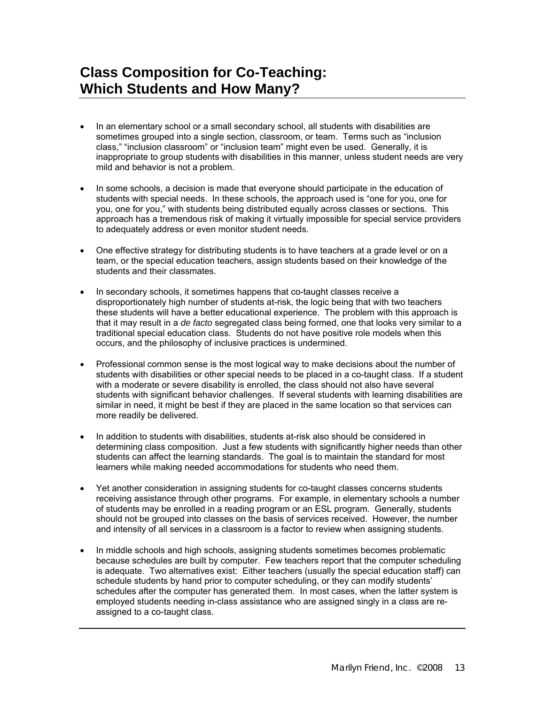### **Class Composition for Co-Teaching: Which Students and How Many?**

- In an elementary school or a small secondary school, all students with disabilities are sometimes grouped into a single section, classroom, or team. Terms such as "inclusion class," "inclusion classroom" or "inclusion team" might even be used. Generally, it is inappropriate to group students with disabilities in this manner, unless student needs are very mild and behavior is not a problem.
- In some schools, a decision is made that everyone should participate in the education of students with special needs. In these schools, the approach used is "one for you, one for you, one for you," with students being distributed equally across classes or sections. This approach has a tremendous risk of making it virtually impossible for special service providers to adequately address or even monitor student needs.
- One effective strategy for distributing students is to have teachers at a grade level or on a team, or the special education teachers, assign students based on their knowledge of the students and their classmates.
- In secondary schools, it sometimes happens that co-taught classes receive a disproportionately high number of students at-risk, the logic being that with two teachers these students will have a better educational experience. The problem with this approach is that it may result in a *de facto* segregated class being formed, one that looks very similar to a traditional special education class. Students do not have positive role models when this occurs, and the philosophy of inclusive practices is undermined.
- Professional common sense is the most logical way to make decisions about the number of students with disabilities or other special needs to be placed in a co-taught class. If a student with a moderate or severe disability is enrolled, the class should not also have several students with significant behavior challenges. If several students with learning disabilities are similar in need, it might be best if they are placed in the same location so that services can more readily be delivered.
- In addition to students with disabilities, students at-risk also should be considered in determining class composition. Just a few students with significantly higher needs than other students can affect the learning standards. The goal is to maintain the standard for most learners while making needed accommodations for students who need them.
- Yet another consideration in assigning students for co-taught classes concerns students receiving assistance through other programs. For example, in elementary schools a number of students may be enrolled in a reading program or an ESL program. Generally, students should not be grouped into classes on the basis of services received. However, the number and intensity of all services in a classroom is a factor to review when assigning students.
- In middle schools and high schools, assigning students sometimes becomes problematic because schedules are built by computer. Few teachers report that the computer scheduling is adequate. Two alternatives exist: Either teachers (usually the special education staff) can schedule students by hand prior to computer scheduling, or they can modify students' schedules after the computer has generated them. In most cases, when the latter system is employed students needing in-class assistance who are assigned singly in a class are reassigned to a co-taught class.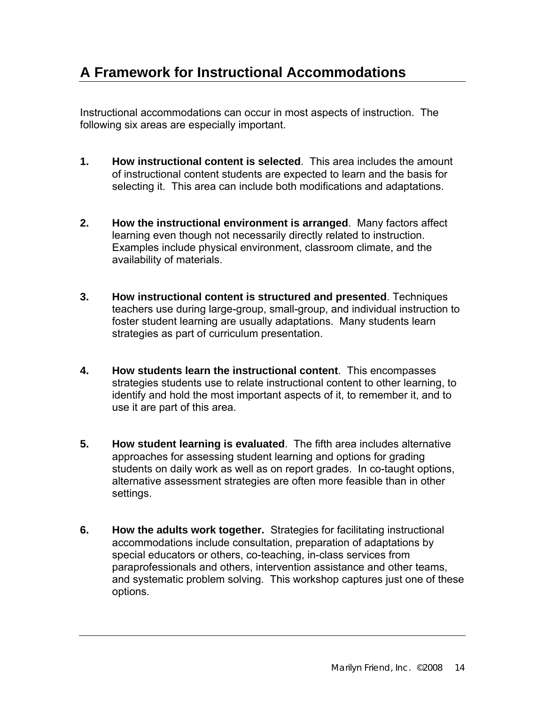# **A Framework for Instructional Accommodations**

Instructional accommodations can occur in most aspects of instruction. The following six areas are especially important.

- **1. How instructional content is selected**. This area includes the amount of instructional content students are expected to learn and the basis for selecting it. This area can include both modifications and adaptations.
- **2. How the instructional environment is arranged**. Many factors affect learning even though not necessarily directly related to instruction. Examples include physical environment, classroom climate, and the availability of materials.
- **3. How instructional content is structured and presented**. Techniques teachers use during large-group, small-group, and individual instruction to foster student learning are usually adaptations. Many students learn strategies as part of curriculum presentation.
- **4. How students learn the instructional content**. This encompasses strategies students use to relate instructional content to other learning, to identify and hold the most important aspects of it, to remember it, and to use it are part of this area.
- **5. How student learning is evaluated**. The fifth area includes alternative approaches for assessing student learning and options for grading students on daily work as well as on report grades. In co-taught options, alternative assessment strategies are often more feasible than in other settings.
- **6. How the adults work together.** Strategies for facilitating instructional accommodations include consultation, preparation of adaptations by special educators or others, co-teaching, in-class services from paraprofessionals and others, intervention assistance and other teams, and systematic problem solving. This workshop captures just one of these options.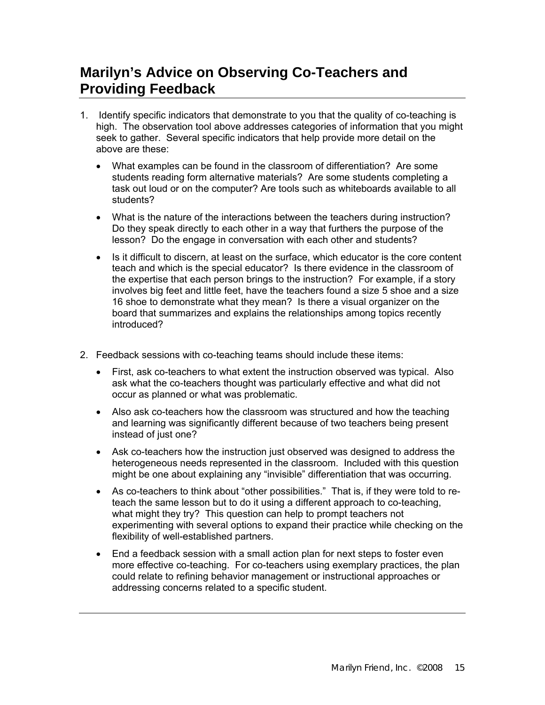# **Marilyn's Advice on Observing Co-Teachers and Providing Feedback**

- 1. Identify specific indicators that demonstrate to you that the quality of co-teaching is high. The observation tool above addresses categories of information that you might seek to gather. Several specific indicators that help provide more detail on the above are these:
	- What examples can be found in the classroom of differentiation? Are some students reading form alternative materials? Are some students completing a task out loud or on the computer? Are tools such as whiteboards available to all students?
	- What is the nature of the interactions between the teachers during instruction? Do they speak directly to each other in a way that furthers the purpose of the lesson? Do the engage in conversation with each other and students?
	- Is it difficult to discern, at least on the surface, which educator is the core content teach and which is the special educator? Is there evidence in the classroom of the expertise that each person brings to the instruction? For example, if a story involves big feet and little feet, have the teachers found a size 5 shoe and a size 16 shoe to demonstrate what they mean? Is there a visual organizer on the board that summarizes and explains the relationships among topics recently introduced?
- 2. Feedback sessions with co-teaching teams should include these items:
	- First, ask co-teachers to what extent the instruction observed was typical. Also ask what the co-teachers thought was particularly effective and what did not occur as planned or what was problematic.
	- Also ask co-teachers how the classroom was structured and how the teaching and learning was significantly different because of two teachers being present instead of just one?
	- Ask co-teachers how the instruction just observed was designed to address the heterogeneous needs represented in the classroom. Included with this question might be one about explaining any "invisible" differentiation that was occurring.
	- As co-teachers to think about "other possibilities." That is, if they were told to reteach the same lesson but to do it using a different approach to co-teaching, what might they try? This question can help to prompt teachers not experimenting with several options to expand their practice while checking on the flexibility of well-established partners.
	- End a feedback session with a small action plan for next steps to foster even more effective co-teaching. For co-teachers using exemplary practices, the plan could relate to refining behavior management or instructional approaches or addressing concerns related to a specific student.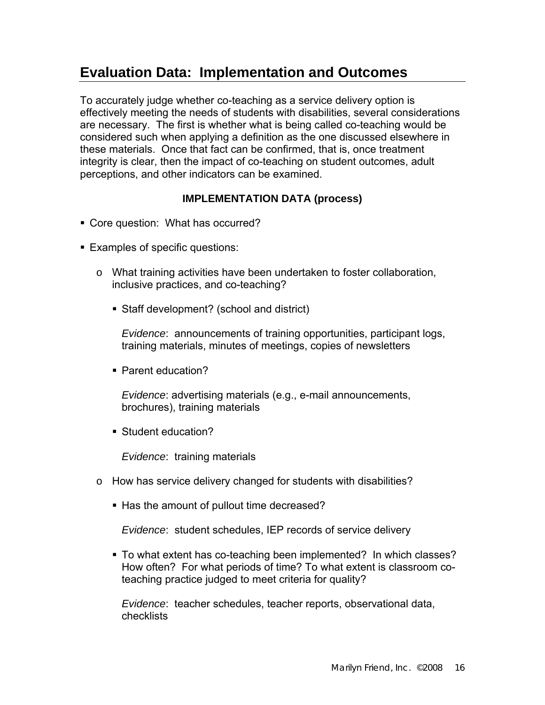### **Evaluation Data: Implementation and Outcomes**

To accurately judge whether co-teaching as a service delivery option is effectively meeting the needs of students with disabilities, several considerations are necessary. The first is whether what is being called co-teaching would be considered such when applying a definition as the one discussed elsewhere in these materials. Once that fact can be confirmed, that is, once treatment integrity is clear, then the impact of co-teaching on student outcomes, adult perceptions, and other indicators can be examined.

#### **IMPLEMENTATION DATA (process)**

- Core question: What has occurred?
- Examples of specific questions:
	- $\circ$  What training activities have been undertaken to foster collaboration, inclusive practices, and co-teaching?
		- Staff development? (school and district)

*Evidence*: announcements of training opportunities, participant logs, training materials, minutes of meetings, copies of newsletters

■ Parent education?

*Evidence*: advertising materials (e.g., e-mail announcements, brochures), training materials

Student education?

*Evidence*: training materials

- o How has service delivery changed for students with disabilities?
	- Has the amount of pullout time decreased?

*Evidence*: student schedules, IEP records of service delivery

 To what extent has co-teaching been implemented? In which classes? How often? For what periods of time? To what extent is classroom coteaching practice judged to meet criteria for quality?

*Evidence*: teacher schedules, teacher reports, observational data, checklists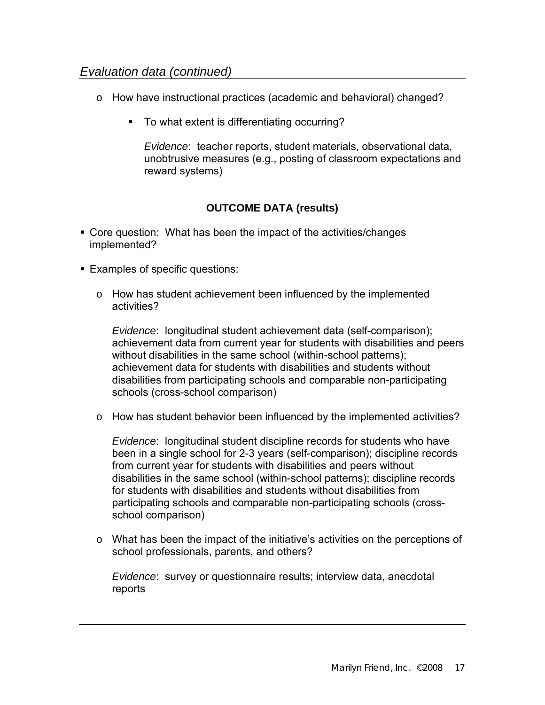#### *Evaluation data (continued)*

- o How have instructional practices (academic and behavioral) changed?
	- To what extent is differentiating occurring?

*Evidence*: teacher reports, student materials, observational data, unobtrusive measures (e.g., posting of classroom expectations and reward systems)

#### **OUTCOME DATA (results)**

- Core question: What has been the impact of the activities/changes implemented?
- **Examples of specific questions:** 
	- o How has student achievement been influenced by the implemented activities?

*Evidence*: longitudinal student achievement data (self-comparison); achievement data from current year for students with disabilities and peers without disabilities in the same school (within-school patterns); achievement data for students with disabilities and students without disabilities from participating schools and comparable non-participating schools (cross-school comparison)

o How has student behavior been influenced by the implemented activities?

*Evidence*: longitudinal student discipline records for students who have been in a single school for 2-3 years (self-comparison); discipline records from current year for students with disabilities and peers without disabilities in the same school (within-school patterns); discipline records for students with disabilities and students without disabilities from participating schools and comparable non-participating schools (crossschool comparison)

 $\circ$  What has been the impact of the initiative's activities on the perceptions of school professionals, parents, and others?

*Evidence*: survey or questionnaire results; interview data, anecdotal reports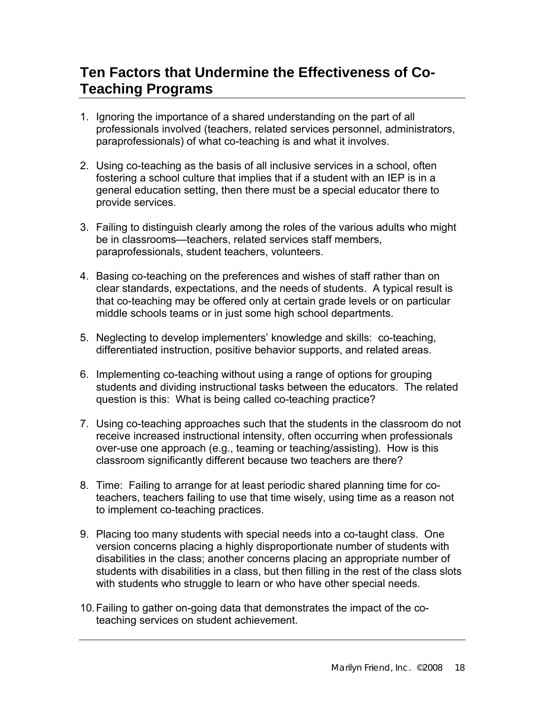# **Ten Factors that Undermine the Effectiveness of Co-Teaching Programs**

- 1. Ignoring the importance of a shared understanding on the part of all professionals involved (teachers, related services personnel, administrators, paraprofessionals) of what co-teaching is and what it involves.
- 2. Using co-teaching as the basis of all inclusive services in a school, often fostering a school culture that implies that if a student with an IEP is in a general education setting, then there must be a special educator there to provide services.
- 3. Failing to distinguish clearly among the roles of the various adults who might be in classrooms—teachers, related services staff members, paraprofessionals, student teachers, volunteers.
- 4. Basing co-teaching on the preferences and wishes of staff rather than on clear standards, expectations, and the needs of students. A typical result is that co-teaching may be offered only at certain grade levels or on particular middle schools teams or in just some high school departments.
- 5. Neglecting to develop implementers' knowledge and skills: co-teaching, differentiated instruction, positive behavior supports, and related areas.
- 6. Implementing co-teaching without using a range of options for grouping students and dividing instructional tasks between the educators. The related question is this: What is being called co-teaching practice?
- 7. Using co-teaching approaches such that the students in the classroom do not receive increased instructional intensity, often occurring when professionals over-use one approach (e.g., teaming or teaching/assisting). How is this classroom significantly different because two teachers are there?
- 8. Time: Failing to arrange for at least periodic shared planning time for coteachers, teachers failing to use that time wisely, using time as a reason not to implement co-teaching practices.
- 9. Placing too many students with special needs into a co-taught class. One version concerns placing a highly disproportionate number of students with disabilities in the class; another concerns placing an appropriate number of students with disabilities in a class, but then filling in the rest of the class slots with students who struggle to learn or who have other special needs.
- 10. Failing to gather on-going data that demonstrates the impact of the coteaching services on student achievement.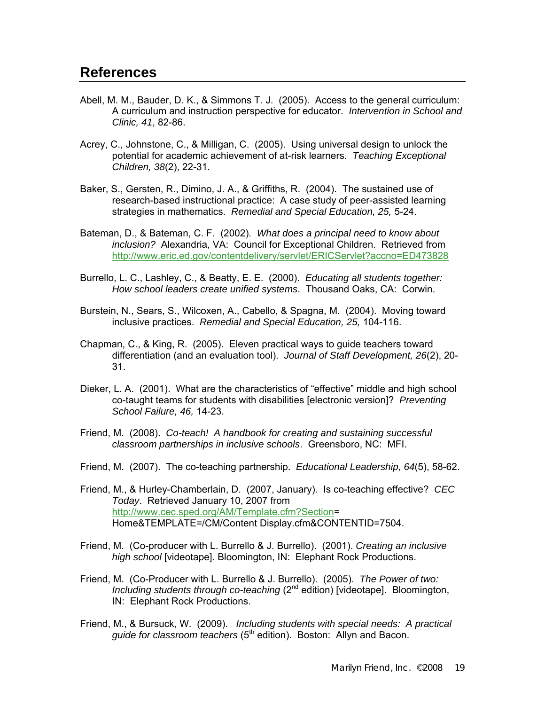- Abell, M. M., Bauder, D. K., & Simmons T. J. (2005). Access to the general curriculum: A curriculum and instruction perspective for educator. *Intervention in School and Clinic, 41*, 82-86.
- Acrey, C., Johnstone, C., & Milligan, C. (2005). Using universal design to unlock the potential for academic achievement of at-risk learners. *Teaching Exceptional Children, 38*(2), 22-31.
- Baker, S., Gersten, R., Dimino, J. A., & Griffiths, R. (2004). The sustained use of research-based instructional practice: A case study of peer-assisted learning strategies in mathematics. *Remedial and Special Education, 25,* 5-24.
- Bateman, D., & Bateman, C. F. (2002). *What does a principal need to know about inclusion?* Alexandria, VA: Council for Exceptional Children. Retrieved from <http://www.eric.ed.gov/contentdelivery/servlet/ERICServlet?accno=ED473828>
- Burrello, L. C., Lashley, C., & Beatty, E. E. (2000). *Educating all students together: How school leaders create unified systems*. Thousand Oaks, CA: Corwin.
- Burstein, N., Sears, S., Wilcoxen, A., Cabello, & Spagna, M. (2004). Moving toward inclusive practices. *Remedial and Special Education, 25,* 104-116.
- Chapman, C., & King, R. (2005). Eleven practical ways to guide teachers toward differentiation (and an evaluation tool). *Journal of Staff Development, 26*(2), 20- 31.
- Dieker, L. A. (2001). What are the characteristics of "effective" middle and high school co-taught teams for students with disabilities [electronic version]? *Preventing School Failure, 46,* 14-23.
- Friend, M. (2008). *Co-teach! A handbook for creating and sustaining successful classroom partnerships in inclusive schools*. Greensboro, NC: MFI.
- Friend, M. (2007). The co-teaching partnership. *Educational Leadership, 64*(5), 58-62.
- Friend, M., & Hurley-Chamberlain, D. (2007, January). Is co-teaching effective? *CEC Today*. Retrieved January 10, 2007 from <http://www.cec.sped.org/AM/Template.cfm?Section>= Home&TEMPLATE=/CM/Content Display.cfm&CONTENTID=7504.
- Friend, M. (Co-producer with L. Burrello & J. Burrello). (2001). *Creating an inclusive high school* [videotape]. Bloomington, IN: Elephant Rock Productions.
- Friend, M. (Co-Producer with L. Burrello & J. Burrello). (2005). *The Power of two: Including students through co-teaching* (2<sup>nd</sup> edition) [videotape]. Bloomington, IN: Elephant Rock Productions.
- Friend, M., & Bursuck, W. (2009). *Including students with special needs: A practical guide for classroom teachers* (5<sup>th</sup> edition). Boston: Allyn and Bacon.